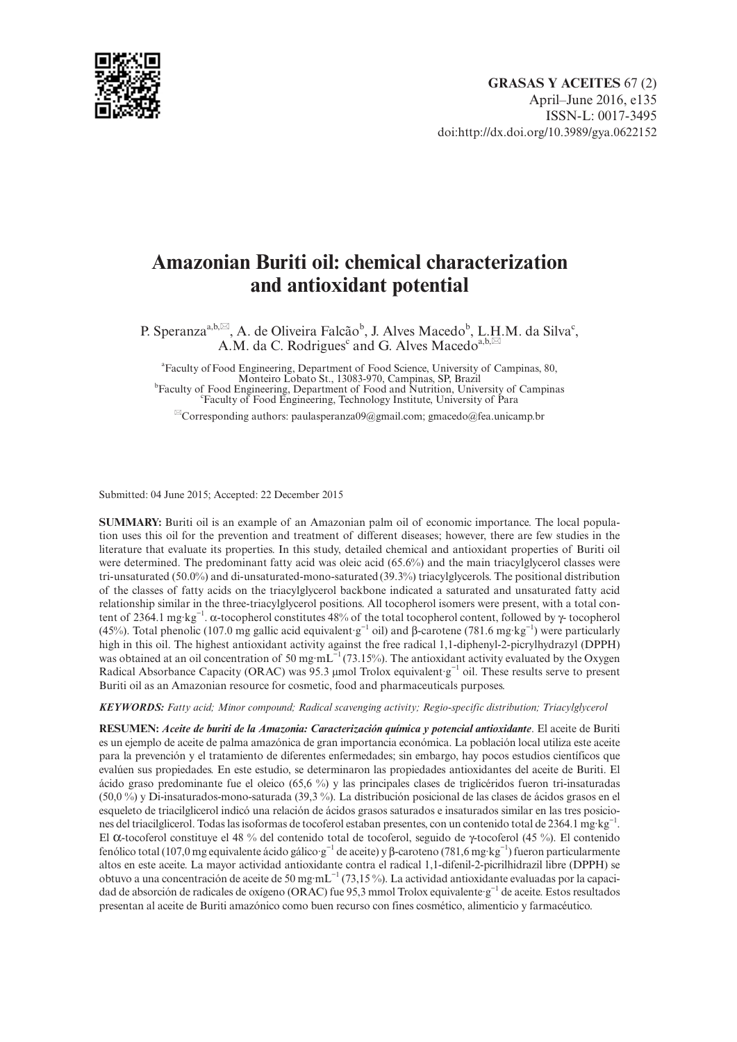

# **Amazonian Buriti oil: chemical characterization and antioxidant potential**

P. Speranza<sup>a,b, $\boxtimes$ </sup>, A. de Oliveira Falcão<sup>b</sup>, J. Alves Macedo<sup>b</sup>, L.H.M. da Silva<sup>c</sup>, A.M. da C. Rodrigues<sup>c</sup> and G. Alves Macedo<sup>a,b, $\boxtimes$ </sup>

<sup>a</sup> Faculty of Food Engineering, Department of Food Science, University of Campinas, 80, Monteiro Lobato St., 13083-970, Campinas, SP, Brazil<br><sup>b</sup>Easylty of East Engineering, Department of East and Nutrition, Univ Faculty of Food Engineering, Department of Food and Nutrition, University of Campinas Faculty of Food Engineering, Technology Institute, University of Para

 $^{\boxtimes}$ Corresponding authors: paulasperanza09@gmail.com; gmacedo@fea.unicamp.br

Submitted: 04 June 2015; Accepted: 22 December 2015

**SUMMARY:** Buriti oil is an example of an Amazonian palm oil of economic importance. The local population uses this oil for the prevention and treatment of different diseases; however, there are few studies in the literature that evaluate its properties. In this study, detailed chemical and antioxidant properties of Buriti oil were determined. The predominant fatty acid was oleic acid (65.6%) and the main triacylglycerol classes were tri-unsaturated (50.0%) and di-unsaturated-mono-saturated(39.3%) triacylglycerols. The positional distribution of the classes of fatty acids on the triacylglycerol backbone indicated a saturated and unsaturated fatty acid relationship similar in the three-triacylglycerol positions. All tocopherol isomers were present, with a total content of 2364.1 mg·kg−1. α-tocopherol constitutes 48% of the total tocopherol content, followed by γ- tocopherol (45%). Total phenolic (107.0 mg gallic acid equivalent·g−1 oil) and β-carotene (781.6 mg·kg−1) were particularly high in this oil. The highest antioxidant activity against the free radical 1,1-diphenyl-2-picrylhydrazyl (DPPH) was obtained at an oil concentration of 50 mg  $mL^{-1}$  (73.15%). The antioxidant activity evaluated by the Oxygen Radical Absorbance Capacity (ORAC) was 95.3 μmol Trolox equivalent·g−1 oil. These results serve to present Buriti oil as an Amazonian resource for cosmetic, food and pharmaceuticals purposes.

*KEYWORDS: Fatty acid; Minor compound; Radical scavenging activity; Regio-specific distribution; Triacylglycerol*

**RESUMEN:** *Aceite de buriti de la Amazonia: Caracterización química y potencial antioxidante*. El aceite de Buriti es un ejemplo de aceite de palma amazónica de gran importancia económica. La población local utiliza este aceite para la prevención y el tratamiento de diferentes enfermedades; sin embargo, hay pocos estudios científicos que evalúen sus propiedades. En este estudio, se determinaron las propiedades antioxidantes del aceite de Buriti. El ácido graso predominante fue el oleico (65,6 %) y las principales clases de triglicéridos fueron tri-insaturadas (50,0 %) y Di-insaturados-mono-saturada (39,3 %). La distribución posicional de las clases de ácidos grasos en el esqueleto de triacilglicerol indicó una relación de ácidos grasos saturados e insaturados similar en las tres posiciones del triacilglicerol. Todas las isoformas de tocoferol estaban presentes, con un contenido total de 2364.1 mg·kg−1. El α-tocoferol constituye el 48 % del contenido total de tocoferol, seguido de γ-tocoferol (45 %). El contenido fenólico total (107,0 mg equivalente ácido gálico·g−1 de aceite) y β-caroteno (781,6 mg·kg−1) fueron particularmente altos en este aceite. La mayor actividad antioxidante contra el radical 1,1-difenil-2-picrilhidrazil libre (DPPH) se obtuvo a una concentración de aceite de 50 mg·mL−1 (73,15 %). La actividad antioxidante evaluadas por la capacidad de absorción de radicales de oxígeno (ORAC) fue 95,3 mmol Trolox equivalente·g−1 de aceite. Estos resultados presentan al aceite de Buriti amazónico como buen recurso con fines cosmético, alimenticio y farmacéutico.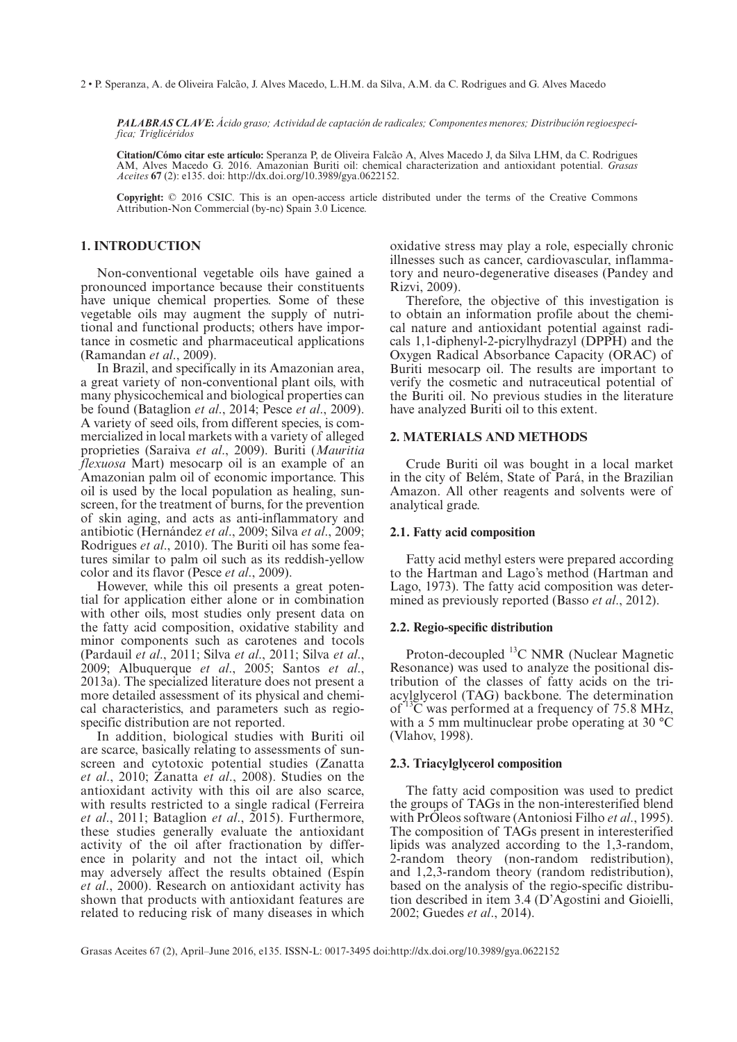2 • P. Speranza, A. de Oliveira Falcão, J. Alves Macedo, L.H.M. da Silva, A.M. da C. Rodrigues and G. Alves Macedo

*PALABRAS CLAVE***:** *Ácido graso; Actividad de captación de radicales; Componentes menores; Distribución regioespecífica; Triglicéridos*

**Citation/Cómo citar este artículo:** Speranza P, de Oliveira Falcão A, Alves Macedo J, da Silva LHM, da C. Rodrigues AM, Alves Macedo G. 2016. Amazonian Buriti oil: chemical characterization and antioxidant potential. *Grasas Aceites* **67** (2): e135. doi: http://dx.doi.org/10.3989/gya.0622152.

**Copyright:** © 2016 CSIC. This is an open-access article distributed under the terms of the Creative Commons Attribution-Non Commercial (by-nc) Spain 3.0 Licence.

# **1. INTRODUCTION**

Non-conventional vegetable oils have gained a pronounced importance because their constituents have unique chemical properties. Some of these vegetable oils may augment the supply of nutritional and functional products; others have importance in cosmetic and pharmaceutical applications (Ramandan *et al*., 2009).

In Brazil, and specifically in its Amazonian area, a great variety of non-conventional plant oils, with many physicochemical and biological properties can be found (Bataglion *et al*., 2014; Pesce *et al*., 2009). A variety of seed oils, from different species, is commercialized in local markets with a variety of alleged proprieties (Saraiva *et al*., 2009). Buriti (*Mauritia flexuosa* Mart) mesocarp oil is an example of an Amazonian palm oil of economic importance. This oil is used by the local population as healing, sunscreen, for the treatment of burns, for the prevention of skin aging, and acts as anti-inflammatory and antibiotic (Hernández *et al*., 2009; Silva *et al*., 2009; Rodrigues *et al*., 2010). The Buriti oil has some features similar to palm oil such as its reddish-yellow color and its flavor (Pesce *et al*., 2009).

However, while this oil presents a great potential for application either alone or in combination with other oils, most studies only present data on the fatty acid composition, oxidative stability and minor components such as carotenes and tocols (Pardauil *et al*., 2011; Silva *et al*., 2011; Silva *et al*., 2009; Albuquerque *et al*., 2005; Santos *et al*., 2013a). The specialized literature does not present a more detailed assessment of its physical and chemical characteristics, and parameters such as regiospecific distribution are not reported.

In addition, biological studies with Buriti oil are scarce, basically relating to assessments of sunscreen and cytotoxic potential studies (Zanatta *et al*., 2010; Zanatta *et al*., 2008). Studies on the antioxidant activity with this oil are also scarce, with results restricted to a single radical (Ferreira *et al*., 2011; Bataglion *et al*., 2015). Furthermore, these studies generally evaluate the antioxidant activity of the oil after fractionation by difference in polarity and not the intact oil, which may adversely affect the results obtained (Espín *et al*., 2000). Research on antioxidant activity has shown that products with antioxidant features are related to reducing risk of many diseases in which

oxidative stress may play a role, especially chronic illnesses such as cancer, cardiovascular, inflammatory and neuro-degenerative diseases (Pandey and Rizvi, 2009).

Therefore, the objective of this investigation is to obtain an information profile about the chemical nature and antioxidant potential against radicals 1,1-diphenyl-2-picrylhydrazyl (DPPH) and the Oxygen Radical Absorbance Capacity (ORAC) of Buriti mesocarp oil. The results are important to verify the cosmetic and nutraceutical potential of the Buriti oil. No previous studies in the literature have analyzed Buriti oil to this extent.

## **2. MATERIALS AND METHODS**

Crude Buriti oil was bought in a local market in the city of Belém, State of Pará, in the Brazilian Amazon. All other reagents and solvents were of analytical grade.

## **2.1. Fatty acid composition**

Fatty acid methyl esters were prepared according to the Hartman and Lago's method (Hartman and Lago, 1973). The fatty acid composition was determined as previously reported (Basso *et al*., 2012).

## **2.2. Regio-specific distribution**

Proton-decoupled <sup>13</sup>C NMR (Nuclear Magnetic Resonance) was used to analyze the positional distribution of the classes of fatty acids on the triacylglycerol (TAG) backbone. The determination of 13C was performed at a frequency of 75.8 MHz, with a 5 mm multinuclear probe operating at 30 °C (Vlahov, 1998).

## **2.3. Triacylglycerol composition**

The fatty acid composition was used to predict the groups of TAGs in the non-interesterified blend with PrÓleos software (Antoniosi Filho *et al*., 1995). The composition of TAGs present in interesterified lipids was analyzed according to the 1,3-random, 2-random theory (non-random redistribution), and 1,2,3-random theory (random redistribution), based on the analysis of the regio-specific distribution described in item 3.4 (D'Agostini and Gioielli, 2002; Guedes *et al*., 2014).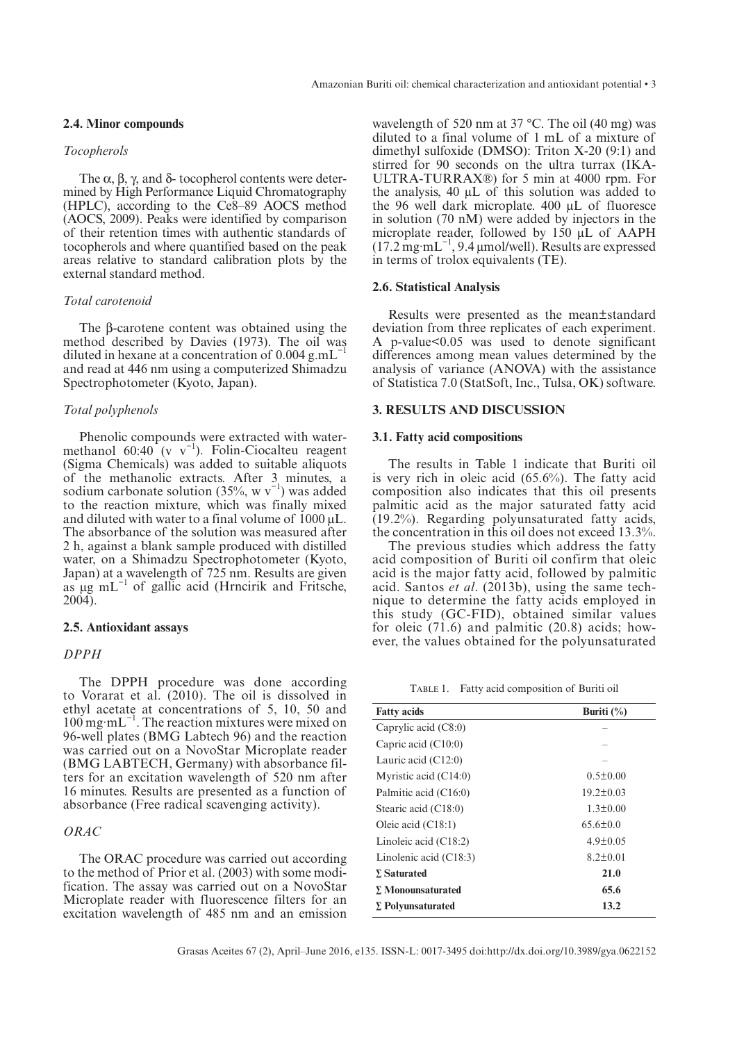## **2.4. Minor compounds**

## *Tocopherols*

The  $\alpha$ ,  $\beta$ ,  $\gamma$ , and  $\delta$ - tocopherol contents were determined by High Performance Liquid Chromatography (HPLC), according to the Ce8–89 AOCS method (AOCS, 2009). Peaks were identified by comparison of their retention times with authentic standards of tocopherols and where quantified based on the peak areas relative to standard calibration plots by the external standard method.

#### *Total carotenoid*

The β-carotene content was obtained using the method described by Davies (1973). The oil was diluted in hexane at a concentration of 0.004 g.mL−1 and read at 446 nm using a computerized Shimadzu Spectrophotometer (Kyoto, Japan).

## *Total polyphenols*

Phenolic compounds were extracted with watermethanol 60:40 (v  $v^{-1}$ ). Folin-Ciocalteu reagent (Sigma Chemicals) was added to suitable aliquots of the methanolic extracts. After 3 minutes, a sodium carbonate solution (35%, w  $v^{-1}$ ) was added to the reaction mixture, which was finally mixed and diluted with water to a final volume of  $1000 \mu L$ . The absorbance of the solution was measured after 2 h, against a blank sample produced with distilled water, on a Shimadzu Spectrophotometer (Kyoto, Japan) at a wavelength of 725 nm. Results are given as  $\mu$ g mL<sup> $-1$ </sup> of gallic acid (Hrncirik and Fritsche, 2004).

## **2.5. Antioxidant assays**

#### *DPPH*

The DPPH procedure was done according to Vorarat et al. (2010). The oil is dissolved in ethyl acetate at concentrations of 5, 10, 50 and 100 mg·mL−1. The reaction mixtures were mixed on 96-well plates (BMG Labtech 96) and the reaction was carried out on a NovoStar Microplate reader (BMG LABTECH, Germany) with absorbance filters for an excitation wavelength of 520 nm after 16 minutes. Results are presented as a function of absorbance (Free radical scavenging activity).

# *ORAC*

The ORAC procedure was carried out according to the method of Prior et al. (2003) with some modification. The assay was carried out on a NovoStar Microplate reader with fluorescence filters for an excitation wavelength of 485 nm and an emission

wavelength of 520 nm at 37 °C. The oil (40 mg) was diluted to a final volume of 1 mL of a mixture of dimethyl sulfoxide (DMSO): Triton X-20 (9:1) and stirred for 90 seconds on the ultra turrax (IKA-ULTRA-TURRAX®) for 5 min at 4000 rpm. For the analysis, 40 μL of this solution was added to the 96 well dark microplate. 400 μL of fluoresce in solution (70 nM) were added by injectors in the microplate reader, followed by 150 μL of AAPH  $(17.2 \text{ mg} \cdot \text{mL}^{-1}, 9.4 \text{ µmol/well}).$  Results are expressed in terms of trolox equivalents (TE).

## **2.6. Statistical Analysis**

Results were presented as the mean±standard deviation from three replicates of each experiment. A p-value<0.05 was used to denote significant differences among mean values determined by the analysis of variance (ANOVA) with the assistance of Statistica 7.0 (StatSoft, Inc., Tulsa, OK) software.

#### **3. RESULTS AND DISCUSSION**

#### **3.1. Fatty acid compositions**

The results in Table 1 indicate that Buriti oil is very rich in oleic acid (65.6%). The fatty acid composition also indicates that this oil presents palmitic acid as the major saturated fatty acid (19.2%). Regarding polyunsaturated fatty acids, the concentration in this oil does not exceed 13.3%.

The previous studies which address the fatty acid composition of Buriti oil confirm that oleic acid is the major fatty acid, followed by palmitic acid. Santos *et al*. (2013b), using the same technique to determine the fatty acids employed in this study (GC-FID), obtained similar values for oleic (71.6) and palmitic (20.8) acids; however, the values obtained for the polyunsaturated

TABLE 1. Fatty acid composition of Buriti oil

| <b>Fatty acids</b>       | Buriti $(\%)$   |
|--------------------------|-----------------|
| Caprylic acid $(C8:0)$   |                 |
| Capric acid $(C10:0)$    |                 |
| Lauric acid $(C12:0)$    |                 |
| Myristic acid $(C14:0)$  | $0.5 \pm 0.00$  |
| Palmitic acid (C16:0)    | $19.2 \pm 0.03$ |
| Stearic acid (C18:0)     | $1.3 \pm 0.00$  |
| Oleic acid $(C18:1)$     | $65.6 \pm 0.0$  |
| Linoleic acid $(C18:2)$  | $4.9 \pm 0.05$  |
| Linolenic acid $(C18:3)$ | $8.2 \pm 0.01$  |
| <b>E</b> Saturated       | 21.0            |
| $\Sigma$ Monounsaturated | 65.6            |
| $\Sigma$ Polyunsaturated | 13.2            |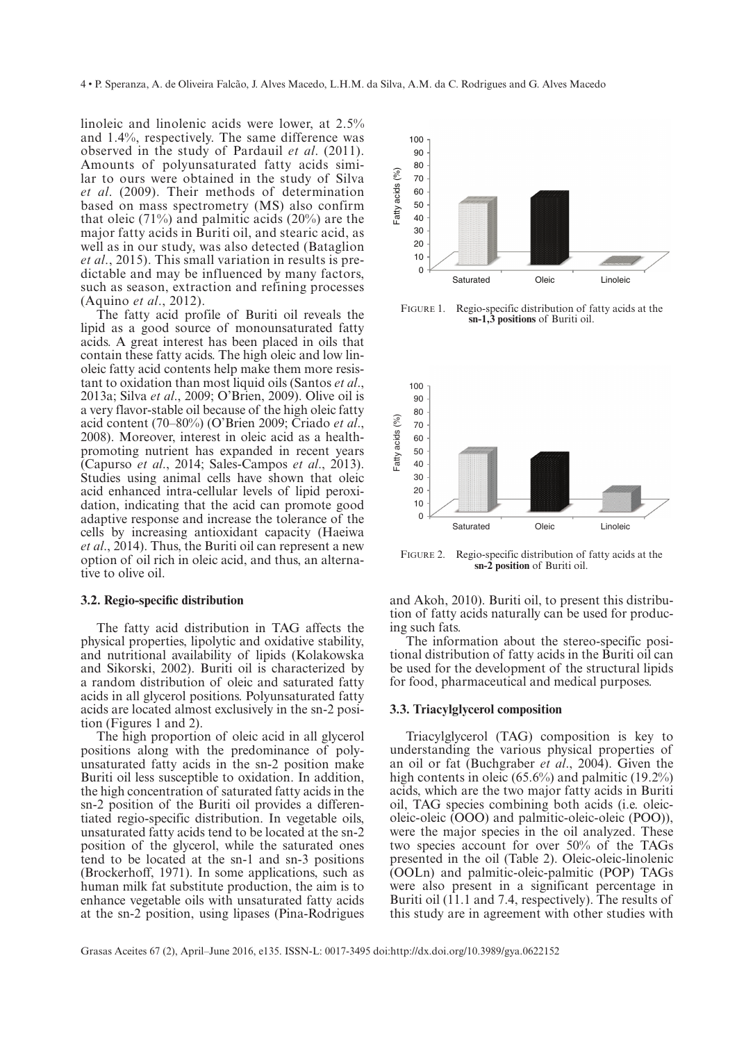4 • P. Speranza, A. de Oliveira Falcão, J. Alves Macedo, L.H.M. da Silva, A.M. da C. Rodrigues and G. Alves Macedo

linoleic and linolenic acids were lower, at 2.5% and 1.4%, respectively. The same difference was observed in the study of Pardauil *et al*. (2011). Amounts of polyunsaturated fatty acids similar to ours were obtained in the study of Silva *et al*. (2009). Their methods of determination based on mass spectrometry (MS) also confirm that oleic  $(71\%)$  and palmitic acids  $(20\%)$  are the major fatty acids in Buriti oil, and stearic acid, as well as in our study, was also detected (Bataglion *et al*., 2015). This small variation in results is predictable and may be influenced by many factors, such as season, extraction and refining processes (Aquino *et al*., 2012).

The fatty acid profile of Buriti oil reveals the lipid as a good source of monounsaturated fatty acids. A great interest has been placed in oils that contain these fatty acids. The high oleic and low linoleic fatty acid contents help make them more resistant to oxidation than most liquid oils (Santos *et al*., 2013a; Silva *et al*., 2009; O'Brien, 2009). Olive oil is a very flavor-stable oil because of the high oleic fatty acid content (70–80%) (O'Brien 2009; Criado *et al*., 2008). Moreover, interest in oleic acid as a healthpromoting nutrient has expanded in recent years (Capurso *et al*., 2014; Sales-Campos *et al*., 2013). Studies using animal cells have shown that oleic acid enhanced intra-cellular levels of lipid peroxidation, indicating that the acid can promote good adaptive response and increase the tolerance of the cells by increasing antioxidant capacity (Haeiwa *et al*., 2014). Thus, the Buriti oil can represent a new option of oil rich in oleic acid, and thus, an alternative to olive oil.

## **3.2. Regio-specific distribution**

The fatty acid distribution in TAG affects the physical properties, lipolytic and oxidative stability, and nutritional availability of lipids (Kolakowska and Sikorski, 2002). Buriti oil is characterized by a random distribution of oleic and saturated fatty acids in all glycerol positions. Polyunsaturated fatty acids are located almost exclusively in the sn-2 position (Figures 1 and 2).

The high proportion of oleic acid in all glycerol positions along with the predominance of polyunsaturated fatty acids in the sn-2 position make Buriti oil less susceptible to oxidation. In addition, the high concentration of saturated fatty acids in the sn-2 position of the Buriti oil provides a differentiated regio-specific distribution. In vegetable oils, unsaturated fatty acids tend to be located at the sn-2 position of the glycerol, while the saturated ones tend to be located at the sn-1 and sn-3 positions (Brockerhoff, 1971). In some applications, such as human milk fat substitute production, the aim is to enhance vegetable oils with unsaturated fatty acids at the sn-2 position, using lipases (Pina-Rodrigues



FIGURE 1. Regio-specific distribution of fatty acids at the **sn-1,3 positions** of Buriti oil.



FIGURE 2. Regio-specific distribution of fatty acids at the **sn-2 position** of Buriti oil.

and Akoh, 2010). Buriti oil, to present this distribution of fatty acids naturally can be used for producing such fats.

The information about the stereo-specific positional distribution of fatty acids in the Buriti oil can be used for the development of the structural lipids for food, pharmaceutical and medical purposes.

## **3.3. Triacylglycerol composition**

Triacylglycerol (TAG) composition is key to understanding the various physical properties of an oil or fat (Buchgraber *et al*., 2004). Given the high contents in oleic (65.6%) and palmitic (19.2%) acids, which are the two major fatty acids in Buriti oil, TAG species combining both acids (i.e. oleic oleic-oleic (OOO) and palmitic-oleic-oleic (POO)), were the major species in the oil analyzed. These two species account for over 50% of the TAGs presented in the oil (Table 2). Oleic-oleic-linolenic (OOLn) and palmitic-oleic-palmitic (POP) TAGs were also present in a significant percentage in Buriti oil (11.1 and 7.4, respectively). The results of this study are in agreement with other studies with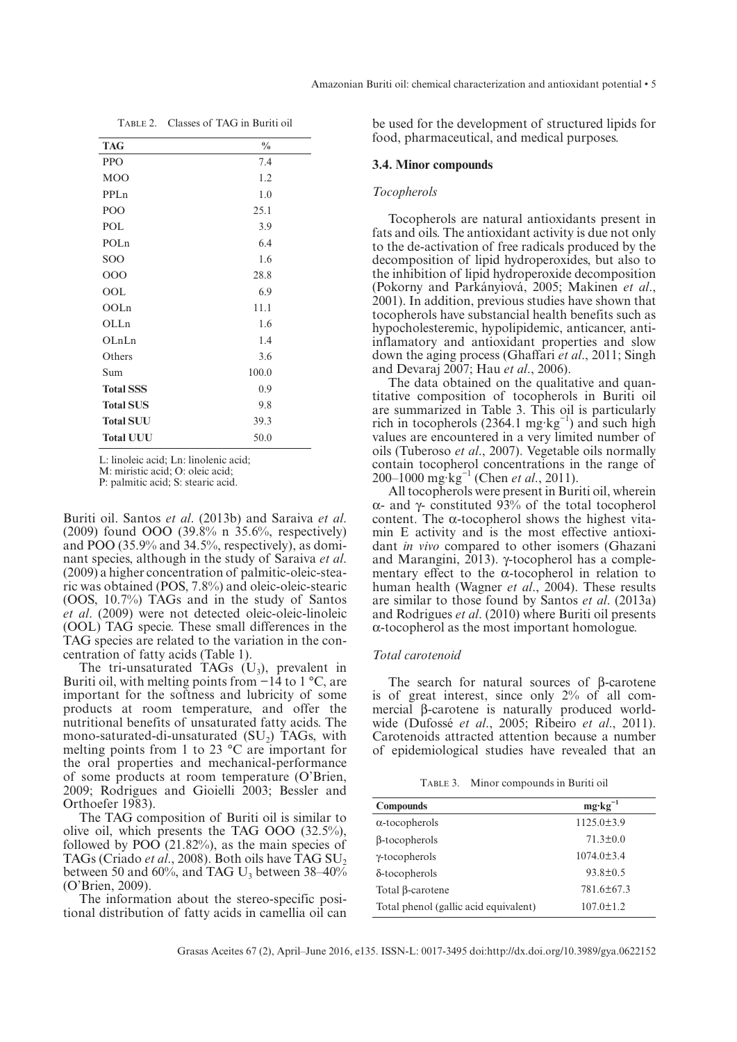| TABLE 2. Classes of TAG in Buriti oil |
|---------------------------------------|
|---------------------------------------|

| <b>TAG</b>       | $\frac{0}{0}$ |
|------------------|---------------|
| <b>PPO</b>       | 7.4           |
| M <sub>O</sub> O | 1.2           |
| PPLn             | 1.0           |
| POO              | 25.1          |
| POL              | 3.9           |
| POLn             | 6.4           |
| SOO              | 1.6           |
| 000              | 28.8          |
| OOL              | 6.9           |
| OOLn             | 11.1          |
| OLLn             | 1.6           |
| OLnLn            | 1.4           |
| Others           | 3.6           |
| Sum              | 100.0         |
| <b>Total SSS</b> | 0.9           |
| <b>Total SUS</b> | 9.8           |
| <b>Total SUU</b> | 39.3          |
| <b>Total UUU</b> | 50.0          |

L: linoleic acid; Ln: linolenic acid;

M: miristic acid; O: oleic acid;

P: palmitic acid; S: stearic acid.

Buriti oil. Santos *et al*. (2013b) and Saraiva *et al*. (2009) found OOO (39.8% n 35.6%, respectively) and POO (35.9% and 34.5%, respectively), as dominant species, although in the study of Saraiva *et al*. (2009) a higher concentration of palmitic-oleic-stearic was obtained (POS, 7.8%) and oleic-oleic-stearic (OOS, 10.7%) TAGs and in the study of Santos *et al*. (2009) were not detected oleic- oleic-linoleic (OOL) TAG specie. These small differences in the TAG species are related to the variation in the concentration of fatty acids (Table 1).

The tri-unsaturated TAGs  $(U_3)$ , prevalent in Buriti oil, with melting points from −14 to 1 °C, are important for the softness and lubricity of some products at room temperature, and offer the nutritional benefits of unsaturated fatty acids. The mono-saturated-di-unsaturated  $(SU<sub>2</sub>)$  TAGs, with melting points from 1 to 23 °C are important for the oral properties and mechanical-performance of some products at room temperature (O'Brien, 2009; Rodrigues and Gioielli 2003; Bessler and Orthoefer 1983).

The TAG composition of Buriti oil is similar to olive oil, which presents the TAG OOO (32.5%), followed by  $POO(21.82%)$ , as the main species of TAGs (Criado *et al.*, 2008). Both oils have TAG SU<sub>2</sub> between 50 and 60%, and TAG  $U_3$  between 38–40% (O'Brien, 2009).

The information about the stereo-specific positional distribution of fatty acids in camellia oil can be used for the development of structured lipids for food, pharmaceutical, and medical purposes.

## **3.4. Minor compounds**

#### *Tocopherols*

Tocopherols are natural antioxidants present in fats and oils. The antioxidant activity is due not only to the de-activation of free radicals produced by the decomposition of lipid hydroperoxides, but also to the inhibition of lipid hydroperoxide decomposition (Pokorny and Parkányiová, 2005; Makinen *et al*., 2001). In addition, previous studies have shown that tocopherols have substancial health benefits such as hypocholesteremic, hypolipidemic, anticancer, antiinflamatory and antioxidant properties and slow down the aging process (Ghaffari *et al*., 2011; Singh and Devaraj 2007; Hau *et al*., 2006).

The data obtained on the qualitative and quantitative composition of tocopherols in Buriti oil are summarized in Table 3. This oil is particularly rich in tocopherols (2364.1 mg·kg<sup>-1</sup>) and such high values are encountered in a very limited number of oils (Tuberoso *et al*., 2007). Vegetable oils normally contain tocopherol concentrations in the range of 200–1000 mg·kg−1 (Chen *et al*., 2011).

All tocopherols were present in Buriti oil, wherein α- and γ- constituted 93% of the total tocopherol content. The α-tocopherol shows the highest vitamin E activity and is the most effective antioxidant *in vivo* compared to other isomers (Ghazani and Marangini, 2013). γ-tocopherol has a complementary effect to the  $\alpha$ -tocopherol in relation to human health (Wagner *et al*., 2004). These results are similar to those found by Santos *et al*. (2013a) and Rodrigues *et al*. (2010) where Buriti oil presents α-tocopherol as the most important homologue.

## *Total carotenoid*

The search for natural sources of β-carotene is of great interest, since only 2% of all commercial β-carotene is naturally produced worldwide (Dufossé *et al*., 2005; Ribeiro *et al*., 2011). Carotenoids attracted attention because a number of epidemiological studies have revealed that an

TABLE 3. Minor compounds in Buriti oil

| <b>Compounds</b>                      | $mg \cdot kg^{-1}$ |
|---------------------------------------|--------------------|
| $\alpha$ -tocopherols                 | $1125.0 \pm 3.9$   |
| $\beta$ -tocopherols                  | $71.3 \pm 0.0$     |
| $\gamma$ -tocopherols                 | $1074.0 \pm 3.4$   |
| $\delta$ -tocopherols                 | $93.8 \pm 0.5$     |
| Total $\beta$ -carotene               | 781.6±67.3         |
| Total phenol (gallic acid equivalent) | $107.0 \pm 1.2$    |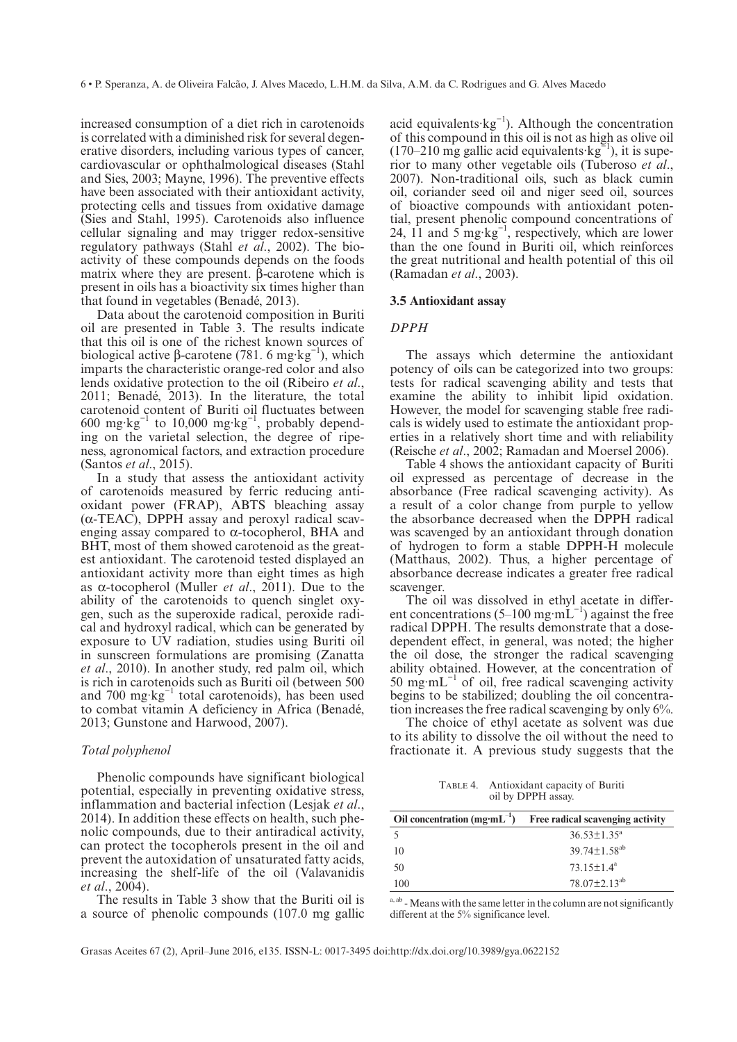increased consumption of a diet rich in carotenoids is correlated with a diminished risk for several degenerative disorders, including various types of cancer, cardiovascular or ophthalmological diseases (Stahl and Sies, 2003; Mayne, 1996). The preventive effects have been associated with their antioxidant activity, protecting cells and tissues from oxidative damage (Sies and Stahl, 1995). Carotenoids also influence cellular signaling and may trigger redox-sensitive regulatory pathways (Stahl *et al*., 2002). The bioactivity of these compounds depends on the foods matrix where they are present. β-carotene which is present in oils has a bioactivity six times higher than that found in vegetables (Benadé, 2013).

Data about the carotenoid composition in Buriti oil are presented in Table 3. The results indicate that this oil is one of the richest known sources of biological active β-carotene (781. 6 mg·kg<sup>-1</sup>), which imparts the characteristic orange-red color and also lends oxidative protection to the oil (Ribeiro *et al*., 2011; Benadé, 2013). In the literature, the total carotenoid content of Buriti oil fluctuates between 600  $mg \cdot kg^{-1}$  to 10,000  $mg \cdot kg^{-1}$ , probably depending on the varietal selection, the degree of ripeness, agronomical factors, and extraction procedure (Santos *et al*., 2015).

In a study that assess the antioxidant activity of carotenoids measured by ferric reducing antioxidant power (FRAP), ABTS bleaching assay (α-TEAC), DPPH assay and peroxyl radical scavenging assay compared to α-tocopherol, BHA and BHT, most of them showed carotenoid as the greatest antioxidant. The carotenoid tested displayed an antioxidant activity more than eight times as high as α-tocopherol (Muller *et al*., 2011). Due to the ability of the carotenoids to quench singlet oxygen, such as the superoxide radical, peroxide radical and hydroxyl radical, which can be generated by exposure to UV radiation, studies using Buriti oil in sunscreen formulations are promising (Zanatta *et al*., 2010). In another study, red palm oil, which is rich in carotenoids such as Buriti oil (between 500 and 700 mg·kg−1 total carotenoids), has been used to combat vitamin A deficiency in Africa (Benadé, 2013; Gunstone and Harwood, 2007).

## *Total polyphenol*

Phenolic compounds have significant biological potential, especially in preventing oxidative stress, inflammation and bacterial infection (Lesjak *et al*., 2014). In addition these effects on health, such phenolic compounds, due to their antiradical activity, can protect the tocopherols present in the oil and prevent the autoxidation of unsaturated fatty acids, increasing the shelf-life of the oil (Valavanidis *et al*., 2004).

The results in Table 3 show that the Buriti oil is a source of phenolic compounds (107.0 mg gallic

acid equivalents·kg−1). Although the concentration of this compound in this oil is not as high as olive oil (170–210 mg gallic acid equivalents·kg<sup> $\epsilon$ 1</sup>), it is superior to many other vegetable oils (Tuberoso *et al*., 2007). Non-traditional oils, such as black cumin oil, coriander seed oil and niger seed oil, sources of bioactive compounds with antioxidant potential, present phenolic compound concentrations of 24,  $11$  and  $5 \text{ mg} \cdot \text{kg}^{-1}$ , respectively, which are lower than the one found in Buriti oil, which reinforces the great nutritional and health potential of this oil (Ramadan *et al*., 2003).

#### **3.5 Antioxidant assay**

## *DPPH*

The assays which determine the antioxidant potency of oils can be categorized into two groups: tests for radical scavenging ability and tests that examine the ability to inhibit lipid oxidation. However, the model for scavenging stable free radicals is widely used to estimate the antioxidant properties in a relatively short time and with reliability (Reische *et al*., 2002; Ramadan and Moersel 2006).

Table 4 shows the antioxidant capacity of Buriti oil expressed as percentage of decrease in the absorbance (Free radical scavenging activity). As a result of a color change from purple to yellow the absorbance decreased when the DPPH radical was scavenged by an antioxidant through donation of hydrogen to form a stable DPPH-H molecule (Matthaus, 2002). Thus, a higher percentage of absorbance decrease indicates a greater free radical scavenger.

The oil was dissolved in ethyl acetate in different concentrations (5–100 mg·m $L^{-1}$ ) against the free radical DPPH. The results demonstrate that a dosedependent effect, in general, was noted; the higher the oil dose, the stronger the radical scavenging ability obtained. However, at the concentration of 50 mg·m $L^{-1}$  of oil, free radical scavenging activity begins to be stabilized; doubling the oil concentration increases the free radical scavenging by only 6%.

The choice of ethyl acetate as solvent was due to its ability to dissolve the oil without the need to fractionate it. A previous study suggests that the

TABLE 4. Antioxidant capacity of Buriti oil by DPPH assay.

| Oil concentration $(mg \cdot mL^{-1})$ | Free radical scavenging activity |
|----------------------------------------|----------------------------------|
|                                        | $36.53 \pm 1.35^a$               |
| 10                                     | 39.74 $\pm$ 1.58 <sup>ab</sup>   |
| 50                                     | $73.15 \pm 1.4^{\text{a}}$       |
| 100                                    | $78.07 + 2.13^{ab}$              |

a, ab - Means with the same letter in the column are not significantly different at the 5% significance level.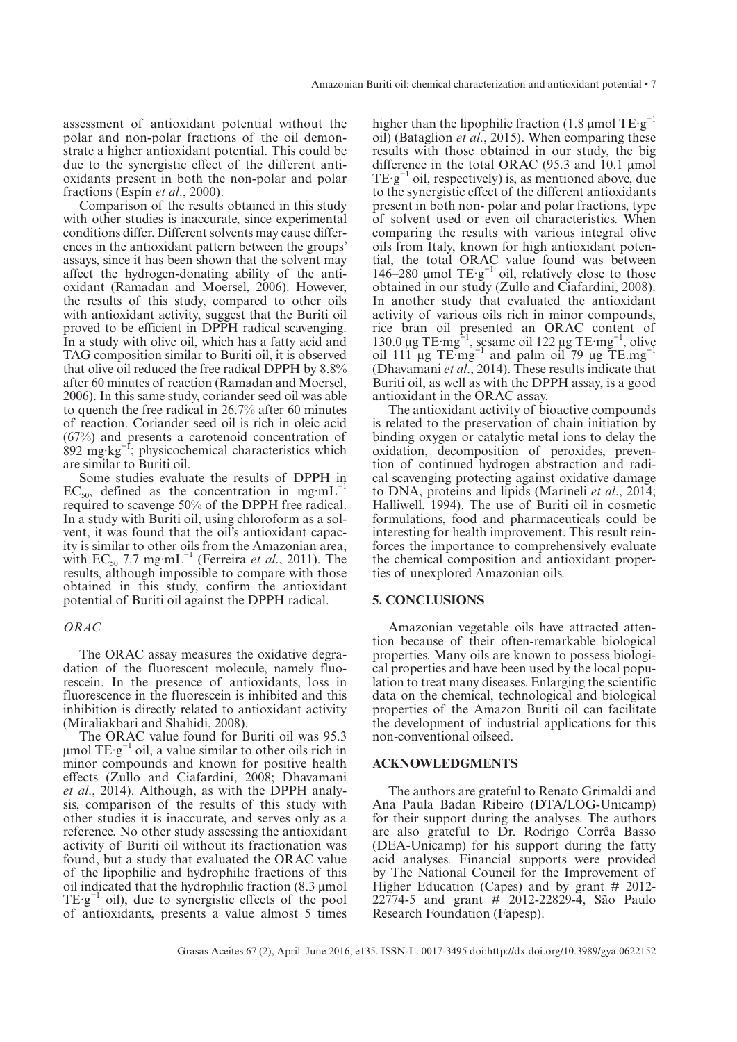assessment of antioxidant potential without the polar and non-polar fractions of the oil demonstrate a higher antioxidant potential. This could be due to the synergistic effect of the different antioxidants present in both the non-polar and polar fractions (Espín *et al*., 2000).

Comparison of the results obtained in this study with other studies is inaccurate, since experimental conditions differ. Different solvents may cause differences in the antioxidant pattern between the groups' assays, since it has been shown that the solvent may affect the hydrogen-donating ability of the antioxidant (Ramadan and Moersel, 2006). However, the results of this study, compared to other oils with antioxidant activity, suggest that the Buriti oil proved to be efficient in DPPH radical scavenging. In a study with olive oil, which has a fatty acid and TAG composition similar to Buriti oil, it is observed that olive oil reduced the free radical DPPH by 8.8% after 60 minutes of reaction (Ramadan and Moersel, 2006). In this same study, coriander seed oil was able to quench the free radical in 26.7% after 60 minutes of reaction. Coriander seed oil is rich in oleic acid (67%) and presents a carotenoid concentration of  $892 \text{ mg} \cdot \text{kg}^{-1}$ ; physicochemical characteristics which are similar to Buriti oil.

Some studies evaluate the results of DPPH in EC<sub>50</sub>, defined as the concentration in mg·mL<sup>-1</sup> required to scavenge 50% of the DPPH free radical. In a study with Buriti oil, using chloroform as a solvent, it was found that the oil's antioxidant capacity is similar to other oils from the Amazonian area, with  $EC_{50}$  7.7 mg·mL<sup>-1</sup> (Ferreira *et al.*, 2011). The results, although impossible to compare with those obtained in this study, confirm the antioxidant potential of Buriti oil against the DPPH radical.

## *ORAC*

The ORAC assay measures the oxidative degradation of the fluorescent molecule, namely fluorescein. In the presence of antioxidants, loss in fluorescence in the fluorescein is inhibited and this inhibition is directly related to antioxidant activity (Miraliakbari and Shahidi, 2008).

The ORAC value found for Buriti oil was 95.3  $μ$ mol TE·g<sup>-1</sup> oil, a value similar to other oils rich in minor compounds and known for positive health effects (Zullo and Ciafardini, 2008; Dhavamani *et al*., 2014). Although, as with the DPPH analysis, comparison of the results of this study with other studies it is inaccurate, and serves only as a reference. No other study assessing the antioxidant activity of Buriti oil without its fractionation was found, but a study that evaluated the ORAC value of the lipophilic and hydrophilic fractions of this oil indicated that the hydrophilic fraction (8.3 μmol  $TE·g^{-1}$  oil), due to synergistic effects of the pool of antioxidants, presents a value almost 5 times

higher than the lipophilic fraction (1.8 µmol  $TE·g^{-1}$ oil) (Bataglion *et al*., 2015). When comparing these results with those obtained in our study, the big difference in the total ORAC (95.3 and 10.1 μmol  $TE·g^{-1}$  oil, respectively) is, as mentioned above, due to the synergistic effect of the different antioxidants present in both non- polar and polar fractions, type of solvent used or even oil characteristics. When comparing the results with various integral olive oils from Italy, known for high antioxidant potential, the total ORAC value found was between 146–280 µmol  $TE·g^{-1}$  oil, relatively close to those obtained in our study (Zullo and Ciafardini, 2008). In another study that evaluated the antioxidant activity of various oils rich in minor compounds, rice bran oil presented an ORAC content of 130.0 μg TE·mg<sup> $-1$ </sup>, sesame oil 122 μg TE·mg<sup>-1</sup>, olive oil 111  $\mu$ g TE·mg<sup>-1</sup> and palm oil 79  $\mu$ g TE.mg<sup>-1</sup> (Dhavamani *et al*., 2014). These results indicate that Buriti oil, as well as with the DPPH assay, is a good antioxidant in the ORAC assay.

The antioxidant activity of bioactive compounds is related to the preservation of chain initiation by binding oxygen or catalytic metal ions to delay the oxidation, decomposition of peroxides, prevention of continued hydrogen abstraction and radical scavenging protecting against oxidative damage to DNA, proteins and lipids (Marineli *et al*., 2014; Halliwell, 1994). The use of Buriti oil in cosmetic formulations, food and pharmaceuticals could be interesting for health improvement. This result reinforces the importance to comprehensively evaluate the chemical composition and antioxidant properties of unexplored Amazonian oils.

## **5. CONCLUSIONS**

Amazonian vegetable oils have attracted attention because of their often-remarkable biological properties. Many oils are known to possess biological properties and have been used by the local population to treat many diseases. Enlarging the scientific data on the chemical, technological and biological properties of the Amazon Buriti oil can facilitate the development of industrial applications for this non-conventional oilseed.

## **ACKNOWLEDGMENTS**

The authors are grateful to Renato Grimaldi and Ana Paula Badan Ribeiro (DTA/LOG-Unicamp) for their support during the analyses. The authors are also grateful to Dr. Rodrigo Corrêa Basso (DEA-Unicamp) for his support during the fatty acid analyses. Financial supports were provided by The National Council for the Improvement of Higher Education (Capes) and by grant # 2012- 22774-5 and grant # 2012-22829-4, São Paulo Research Foundation (Fapesp).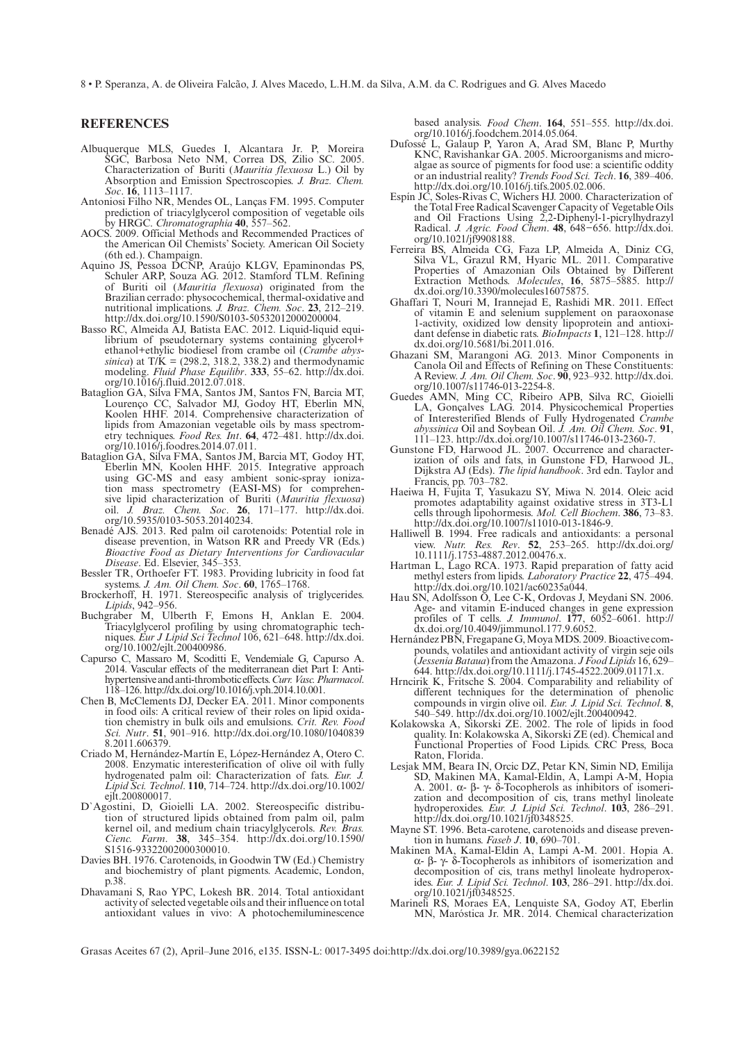8 • P. Speranza, A. de Oliveira Falcão, J. Alves Macedo, L.H.M. da Silva, A.M. da C. Rodrigues and G. Alves Macedo

## **REFERENCES**

- Albuquerque MLS, Guedes I, Alcantara Jr. P, Moreira SGC, Barbosa Neto NM, Correa DS, Zilio SC. 2005. Characterization of Buriti (*Mauritia flexuosa* L.) Oil by Absorption and Emission Spectroscopies. *J. Braz. Chem. Soc*. **16**, 1113–1117.
- Antoniosi Filho NR, Mendes OL, Lanças FM. 1995. Computer prediction of triacylglycerol composition of vegetable oils by HRGC. *Chromatographia* **40**, 557–562.
- AOCS. 2009. Official Methods and Recommended Practices of the American Oil Chemists' Society. American Oil Society (6th ed.). Champaign.
- Aquino JS, Pessoa DCNP, Araújo KLGV, Epaminondas PS, Schuler ARP, Souza AG. 2012. Stamford TLM. Refining of Buriti oil (*Mauritia flexuosa*) originated from the Brazilian cerrado: physocochemical, thermal-oxidative and nutritional implications. *J. Braz. Chem. Soc*. **23**, 212–219. <http://dx.doi.org/10.1590/S0103-50532012000200004>.
- Basso RC, Almeida AJ, Batista EAC. 2012. Liquid-liquid equilibrium of pseudoternary systems containing glycerol+ ethanol+ethylic biodiesel from crambe oil (*Crambe abyssinica*) at T/K = (298.2, 318.2, 338.2) and thermodynamic modeling. *Fluid Phase Equilibr*. **333**, 55–62. [http://dx.doi.](http://dx.doi.org/10.1016/j.fluid.2012.07.018) [org/10.1016/j.fluid.2012.07.018.](http://dx.doi.org/10.1016/j.fluid.2012.07.018)
- Bataglion GA, Silva FMA, Santos JM, Santos FN, Barcia MT, Lourenço CC, Salvador MJ, Godoy HT, Eberlin MN, Koolen HHF. 2014. Comprehensive characterization of lipids from Amazonian vegetable oils by mass spectrometry techniques. *Food Res. Int*. **64**, 472–481. [http://dx.doi.](http://dx.doi.org/10.1016/j.foodres.2014.07.011) [org/10.1016/j.foodres.2014.07.011](http://dx.doi.org/10.1016/j.foodres.2014.07.011).
- Bataglion GA, Silva FMA, Santos JM, Barcia MT, Godoy HT, Eberlin MN, Koolen HHF. 2015. Integrative approach using GC-MS and easy ambient sonic-spray ionization mass spectrometry (EASI-MS) for comprehensive lipid characterization of Buriti (*Mauritia flexuosa*) oil. *J. Braz. Chem. Soc*. **26**, 171–177. [http://dx.doi.](http://dx.doi.org/10.5935/0103-5053.20140234) [org/10.5935/0103-5053.20140234](http://dx.doi.org/10.5935/0103-5053.20140234).
- Benadé AJS. 2013. Red palm oil carotenoids: Potential role in disease prevention, in Watson RR and Preedy VR (Eds.) *Bioactive Food as Dietary Interventions for Cardiovacular Disease*. Ed. Elsevier, 345–353.
- Bessler TR, Orthoefer FT. 1983. Providing lubricity in food fat systems. *J. Am. Oil Chem. Soc*. **60**, 1765–1768.
- Brockerhoff, H. 1971. Stereospecific analysis of triglycerides. *Lipids*, 942–956.
- Buchgraber M, Ulberth F, Emons H, Anklan E. 2004. Triacylglycerol profiling by using chromatographic techniques. *Eur J Lipid Sci Technol* 106, 621–648. [http://dx.doi.](http://dx.doi.org/10.1002/ejlt.200400986) [org/10.1002/ejlt.200400986.](http://dx.doi.org/10.1002/ejlt.200400986)
- Capurso C, Massaro M, Scoditti E, Vendemiale G, Capurso A. 2014. Vascular effects of the mediterranean diet Part I: Antihypertensive and anti-thrombotic effects. *Curr. Vasc. Pharmacol*. 118–126. [http://dx.doi.org/10.1016/j.vph.2014.10.001.](http://dx.doi.org/10.1016/j.vph.2014.10.001)
- Chen B, McClements DJ, Decker EA. 2011. Minor components in food oils: A critical review of their roles on lipid oxidation chemistry in bulk oils and emulsions. *Crit. Rev. Food Sci. Nutr*. **51**, 901–916. [http://dx.doi.org/10.1080/1040839](http://dx.doi.org/10.1080/10408398.2011.606379) [8.2011.606379](http://dx.doi.org/10.1080/10408398.2011.606379).
- Criado M, Hernández-Martín E, López-Hernández A, Otero C. 2008. Enzymatic interesterification of olive oil with fully hydrogenated palm oil: Characterization of fats. *Eur.* J. *Lipid Sci. Technol*. **110**, 714–724. [http://dx.doi.org/10.1002/](http://dx.doi.org/10.1002/ejlt.200800017) [ejlt.200800017](http://dx.doi.org/10.1002/ejlt.200800017).
- D`Agostini, D, Gioielli LA. 2002. Stereospecific distribution of structured lipids obtained from palm oil, palm kernel oil, and medium chain triacylglycerols. *Rev. Bras. Cienc. Farm*. **38**, 345–354. [http://dx.doi.org/10.1590/](http://dx.doi.org/10.1590/S1516-93322002000300010) [S1516-93322002000300010.](http://dx.doi.org/10.1590/S1516-93322002000300010)
- Davies BH. 1976. Carotenoids, in Goodwin TW (Ed.) Chemistry and biochemistry of plant pigments. Academic, London, p.38.
- Dhavamani S, Rao YPC, Lokesh BR. 2014. Total antioxidant activity of selected vegetable oils and their influence on total antioxidant values in vivo: A photochemiluminescence

based analysis. *Food Chem*. **164**, 551–555. [http://dx.doi.](http://dx.doi.org/10.1016/j.foodchem.2014.05.064) [org/10.1016/j.foodchem.2014.05.064.](http://dx.doi.org/10.1016/j.foodchem.2014.05.064)

- Dufossé L, Galaup P, Yaron A, Arad SM, Blanc P, Murthy KNC, Ravishankar GA. 2005. Microorganisms and microalgae as source of pigments for food use: a scientific oddity or an industrial reality? *Trends Food Sci. Tech*. **16**, 389–406. [http://dx.doi.org/10.1016/j.tifs.2005.02.006.](http://dx.doi.org/10.1016/j.tifs.2005.02.006)
- Espín JC, Soles-Rivas C, Wichers HJ. 2000. Characterization of the Total Free Radical Scavenger Capacity of Vegetable Oils and Oil Fractions Using 2,2-Diphenyl-1-picrylhydrazyl Radical. *J. Agric. Food Chem*. **48**, 648−656. [http://dx.doi.](http://dx.doi.org/10.1021/jf9908188) [org/10.1021/jf9908188.](http://dx.doi.org/10.1021/jf9908188)
- Ferreira BS, Almeida CG, Faza LP, Almeida A, Diniz CG, Silva VL, Grazul RM, Hyaric ML. 2011. Comparative Properties of Amazonian Oils Obtained by Different Extraction Methods. *Molecules*, **16**, 5875–5885. [http://](http://dx.doi.org/10.3390/molecules16075875) [dx.doi.org/10.3390/molecules16075875.](http://dx.doi.org/10.3390/molecules16075875)
- Ghaffari T, Nouri M, Irannejad E, Rashidi MR. 2011. Effect of vitamin E and selenium supplement on paraoxonase 1-activity, oxidized low density lipoprotein and antioxidant defense in diabetic rats. *BioImpacts* **1**, 121–128. [http://](http://dx.doi.org/10.5681/bi.2011.016) [dx.doi.org/10.5681/bi.2011.016.](http://dx.doi.org/10.5681/bi.2011.016)
- Ghazani SM, Marangoni AG. 2013. Minor Components in Canola Oil and Effects of Refining on These Constituents: A Review. *J. Am. Oil Chem. Soc*. **90**, 923–932. [http://dx.doi.](http://dx.doi.org/10.1007/s11746-013-2254-8) [org/10.1007/s11746-013-2254-8](http://dx.doi.org/10.1007/s11746-013-2254-8).
- Guedes AMN, Ming CC, Ribeiro APB, Silva RC, Gioielli LA, Gonçalves LAG. 2014. Physicochemical Properties of Interesterified Blends of Fully Hydrogenated *Crambe abyssinica* Oil and Soybean Oil. *J. Am. Oil Chem. Soc*. **91**, 111–123. [http://dx.doi.org/10.1007/s11746-013-2360-7.](http://dx.doi.org/10.1007/s11746-013-2360-7)
- Gunstone FD, Harwood JL. 2007. Occurrence and characterization of oils and fats, in Gunstone FD, Harwood JL, Dijkstra AJ (Eds). *The lipid handbook*. 3rd edn. Taylor and Francis, pp. 703–782.
- Haeiwa H, Fujita T, Yasukazu SY, Miwa N. 2014. Oleic acid promotes adaptability against oxidative stress in 3T3-L1 cells through lipohormesis. *Mol. Cell Biochem*. **386**, 73–83. <http://dx.doi.org/10.1007/s11010-013-1846-9>.
- Halliwell B. 1994. Free radicals and antioxidants: a personal view. *Nutr. Res. Rev*. **52**, 253–265. [http://dx.doi.org/](http://dx.doi.org/ 10.1111/j.1753-4887.2012.00476.x) [10.1111/j.1753-4887.2012.00476.x.](http://dx.doi.org/ 10.1111/j.1753-4887.2012.00476.x)
- Hartman L, Lago RCA. 1973. Rapid preparation of fatty acid methyl esters from lipids. *Laboratory Practice* **22**, 475–494. [http://dx.doi.org/10.1021/ac60235a044.](http://dx.doi.org/10.1021/ac60235a044)
- Hau SN, Adolfsson O, Lee C-K, Ordovas J, Meydani SN. 2006. Age- and vitamin E-induced changes in gene expression profiles of T cells. *J. Immunol*. **177**, 6052–6061. [http://](http://dx.doi.org/10.4049/jimmunol.177.9.6052) [dx.doi.org/10.4049/jimmunol.177.9.6052](http://dx.doi.org/10.4049/jimmunol.177.9.6052).
- Hernández PBN, Fregapane G, Moya MDS. 2009. Bioactive compounds, volatiles and antioxidant activity of virgin seje oils (*Jessenia Bataua*) from the Amazona. *J Food Lipids* 16, 629– 644. <http://dx.doi.org/10.1111/j.1745-4522.2009.01171.x>[.](http://dx.doi.org/10.1111/j.1745-4522.2009.01171.x.)
- Hrncirik K, Fritsche S. 2004. Comparability and reliability of different techniques for the determination of phenolic compounds in virgin olive oil. *Eur. J. Lipid Sci. Technol*. **8**, 540–549. <http://dx.doi.org/10.1002/ejlt.200400942>.
- Kolakowska A, Sikorski ZE. 2002. The role of lipids in food quality. In: Kolakowska A, Sikorski ZE (ed). Chemical and Functional Properties of Food Lipids. CRC Press, Boca Raton, Florida.
- Lesjak MM, Beara IN, Orcic DZ, Petar KN, Simin ND, Emilija SD, Makinen MA, Kamal-Eldin, A, Lampi A-M, Hopia A. 2001. α- β- γ- δ-Tocopherols as inhibitors of isomerization and decomposition of cis, trans methyl linoleate hydroperoxides. *Eur. J. Lipid Sci. Technol*. **103**, 286–291. <http://dx.doi.org/10.1021/jf0348525>.
- Mayne ST. 1996. Beta-carotene, carotenoids and disease prevention in humans. *Faseb J*. **10**, 690–701.
- Makinen MA, Kamal-Eldin A, Lampi A-M. 2001. Hopia A. α- β- γ- δ-Tocopherols as inhibitors of isomerization and decomposition of cis, trans methyl linoleate hydroperoxides. *Eur. J. Lipid Sci. Technol*. **103**, 286–291. [http://dx.doi.](http://dx.doi.org/10.1021/jf0348525) [org/10.1021/jf0348525.](http://dx.doi.org/10.1021/jf0348525)
- Marineli RS, Moraes EA, Lenquiste SA, Godoy AT, Eberlin MN, Maróstica Jr. MR. 2014. Chemical characterization